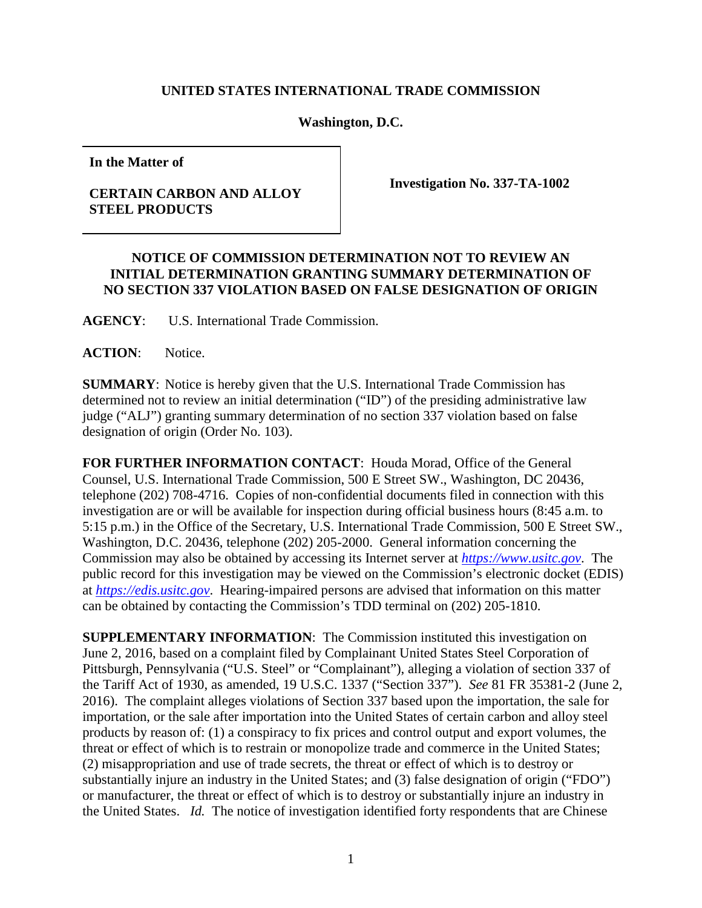## **UNITED STATES INTERNATIONAL TRADE COMMISSION**

**Washington, D.C.** 

**In the Matter of**

## **CERTAIN CARBON AND ALLOY STEEL PRODUCTS**

**Investigation No. 337-TA-1002**

## **NOTICE OF COMMISSION DETERMINATION NOT TO REVIEW AN INITIAL DETERMINATION GRANTING SUMMARY DETERMINATION OF NO SECTION 337 VIOLATION BASED ON FALSE DESIGNATION OF ORIGIN**

**AGENCY**: U.S. International Trade Commission.

ACTION: Notice.

**SUMMARY**: Notice is hereby given that the U.S. International Trade Commission has determined not to review an initial determination ("ID") of the presiding administrative law judge ("ALJ") granting summary determination of no section 337 violation based on false designation of origin (Order No. 103).

**FOR FURTHER INFORMATION CONTACT**: Houda Morad, Office of the General Counsel, U.S. International Trade Commission, 500 E Street SW., Washington, DC 20436, telephone (202) 708-4716. Copies of non-confidential documents filed in connection with this investigation are or will be available for inspection during official business hours (8:45 a.m. to 5:15 p.m.) in the Office of the Secretary, U.S. International Trade Commission, 500 E Street SW., Washington, D.C. 20436, telephone (202) 205-2000. General information concerning the Commission may also be obtained by accessing its Internet server at *[https://www.usitc.gov](https://www.usitc.gov/)*. The public record for this investigation may be viewed on the Commission's electronic docket (EDIS) at *[https://edis.usitc.gov](http://edis.usitc.gov/)*. Hearing-impaired persons are advised that information on this matter can be obtained by contacting the Commission's TDD terminal on (202) 205-1810.

**SUPPLEMENTARY INFORMATION:** The Commission instituted this investigation on June 2, 2016, based on a complaint filed by Complainant United States Steel Corporation of Pittsburgh, Pennsylvania ("U.S. Steel" or "Complainant"), alleging a violation of section 337 of the Tariff Act of 1930, as amended, 19 U.S.C. 1337 ("Section 337"). *See* 81 FR 35381-2 (June 2, 2016). The complaint alleges violations of Section 337 based upon the importation, the sale for importation, or the sale after importation into the United States of certain carbon and alloy steel products by reason of: (1) a conspiracy to fix prices and control output and export volumes, the threat or effect of which is to restrain or monopolize trade and commerce in the United States; (2) misappropriation and use of trade secrets, the threat or effect of which is to destroy or substantially injure an industry in the United States; and (3) false designation of origin ("FDO") or manufacturer, the threat or effect of which is to destroy or substantially injure an industry in the United States. *Id.* The notice of investigation identified forty respondents that are Chinese